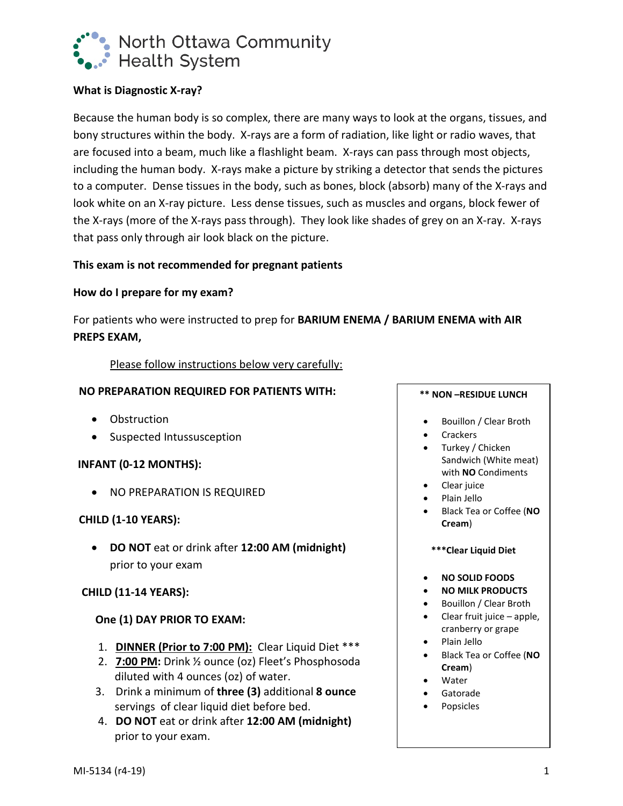

# **What is Diagnostic X-ray?**

Because the human body is so complex, there are many ways to look at the organs, tissues, and bony structures within the body. X-rays are a form of radiation, like light or radio waves, that are focused into a beam, much like a flashlight beam. X-rays can pass through most objects, including the human body. X-rays make a picture by striking a detector that sends the pictures to a computer. Dense tissues in the body, such as bones, block (absorb) many of the X-rays and look white on an X-ray picture. Less dense tissues, such as muscles and organs, block fewer of the X-rays (more of the X-rays pass through). They look like shades of grey on an X-ray. X-rays that pass only through air look black on the picture.

# **This exam is not recommended for pregnant patients**

### **How do I prepare for my exam?**

For patients who were instructed to prep for **BARIUM ENEMA / BARIUM ENEMA with AIR PREPS EXAM,**

### Please follow instructions below very carefully:

### **NO PREPARATION REQUIRED FOR PATIENTS WITH:**

- Obstruction
- Suspected Intussusception

# **INFANT (0-12 MONTHS):**

• NO PREPARATION IS REQUIRED

# **CHILD (1-10 YEARS):**

• **DO NOT** eat or drink after **12:00 AM (midnight)** prior to your exam

# **CHILD (11-14 YEARS):**

# **One (1) DAY PRIOR TO EXAM:**

- 1. **DINNER (Prior to 7:00 PM):** Clear Liquid Diet \*\*\*
- 2. **7:00 PM:** Drink ½ ounce (oz) Fleet's Phosphosoda diluted with 4 ounces (oz) of water.
- 3. Drink a minimum of **three (3)** additional **8 ounce** servings of clear liquid diet before bed.
- 4. **DO NOT** eat or drink after **12:00 AM (midnight)** prior to your exam.

#### **\*\* NON –RESIDUE LUNCH**

- Bouillon / Clear Broth
- **Crackers**
- Turkey / Chicken Sandwich (White meat) with **NO** Condiments
- Clear juice
- Plain Jello
- Black Tea or Coffee (**NO Cream**)
- **\*\*\*Clear Liquid Diet**
- **NO SOLID FOODS**
- **NO MILK PRODUCTS**
- Bouillon / Clear Broth
- Clear fruit juice apple, cranberry or grape
- Plain Jello
- Black Tea or Coffee (**NO Cream**)
- Water
- Gatorade
- Popsicles